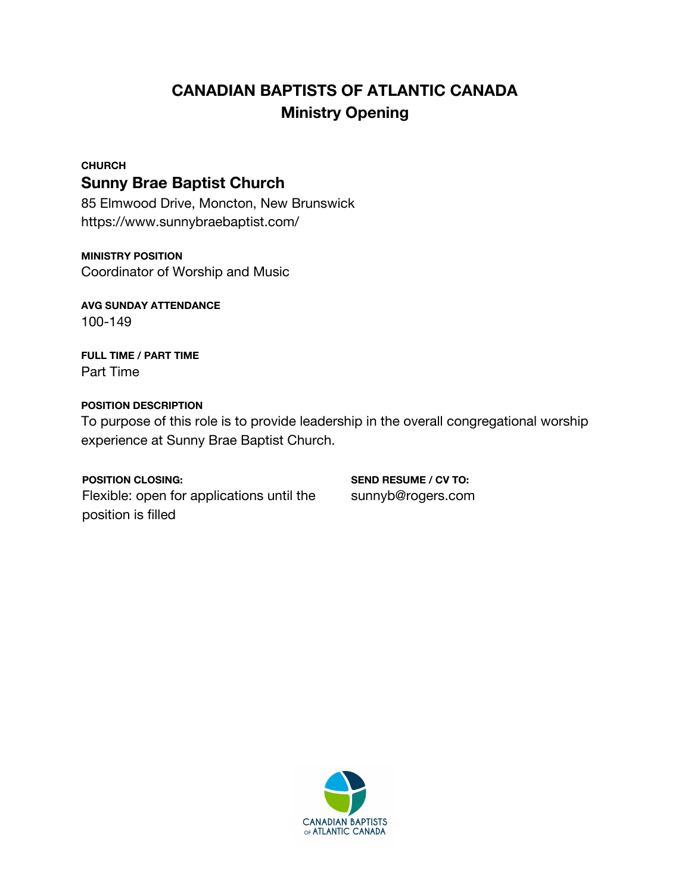# **CANADIAN BAPTISTS OF ATLANTIC CANADA Ministry Opening**

#### **CHURCH**

## **Sunny Brae Baptist Church**

85 Elmwood Drive, Moncton, New Brunswick https://www.sunnybraebaptist.com/

#### **MINISTRY POSITION**

Coordinator of Worship and Music

**AVG SUNDAY ATTENDANCE** 100-149

**FULL TIME / PART TIME** Part Time

### **POSITION DESCRIPTION**

To purpose of this role is to provide leadership in the overall congregational worship experience at Sunny Brae Baptist Church.

#### **POSITION CLOSING:**

Flexible: open for applications until the position is filled

**SEND RESUME / CV TO:** sunnyb@rogers.com

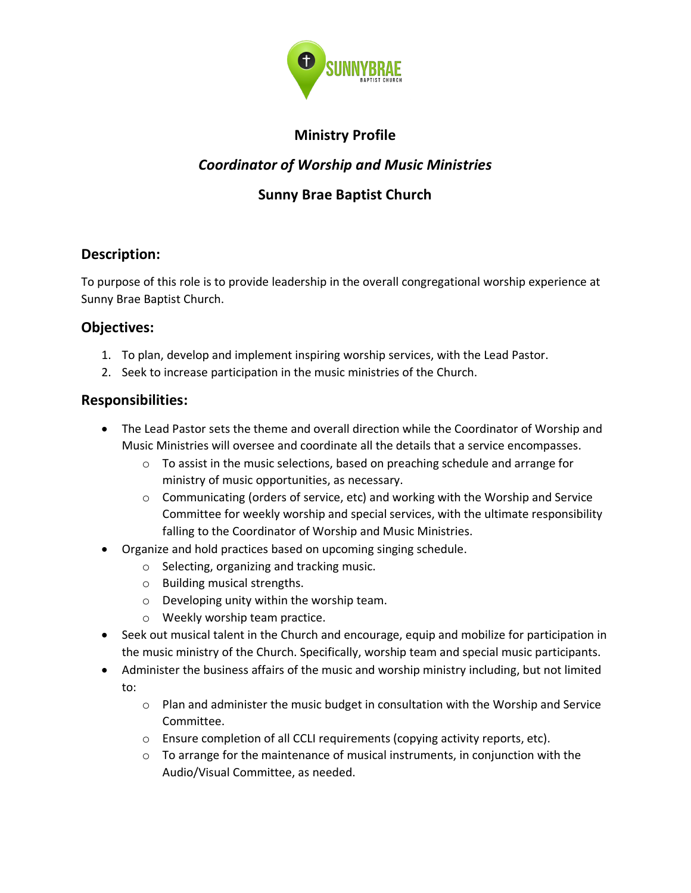

## **Ministry Profile**

## *Coordinator of Worship and Music Ministries*

## **Sunny Brae Baptist Church**

## **Description:**

To purpose of this role is to provide leadership in the overall congregational worship experience at Sunny Brae Baptist Church.

## **Objectives:**

- 1. To plan, develop and implement inspiring worship services, with the Lead Pastor.
- 2. Seek to increase participation in the music ministries of the Church.

## **Responsibilities:**

- The Lead Pastor sets the theme and overall direction while the Coordinator of Worship and Music Ministries will oversee and coordinate all the details that a service encompasses.
	- $\circ$  To assist in the music selections, based on preaching schedule and arrange for ministry of music opportunities, as necessary.
	- $\circ$  Communicating (orders of service, etc) and working with the Worship and Service Committee for weekly worship and special services, with the ultimate responsibility falling to the Coordinator of Worship and Music Ministries.
- Organize and hold practices based on upcoming singing schedule.
	- o Selecting, organizing and tracking music.
	- o Building musical strengths.
	- o Developing unity within the worship team.
	- o Weekly worship team practice.
- Seek out musical talent in the Church and encourage, equip and mobilize for participation in the music ministry of the Church. Specifically, worship team and special music participants.
- Administer the business affairs of the music and worship ministry including, but not limited to:
	- $\circ$  Plan and administer the music budget in consultation with the Worship and Service Committee.
	- o Ensure completion of all CCLI requirements (copying activity reports, etc).
	- $\circ$  To arrange for the maintenance of musical instruments, in conjunction with the Audio/Visual Committee, as needed.